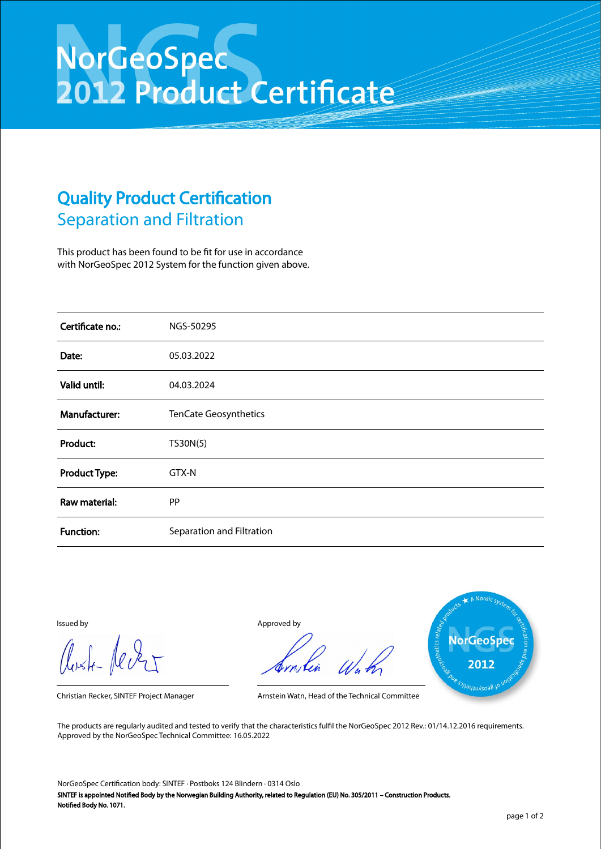## NorGeoSpec<br>2012 Product Certificate

## Quality Product Certification Separation and Filtration

This product has been found to be fit for use in accordance with NorGeoSpec 2012 System for the function given above.

| Certificate no.:     | NGS-50295                 |
|----------------------|---------------------------|
| Date:                | 05.03.2022                |
| Valid until:         | 04.03.2024                |
| Manufacturer:        | TenCate Geosynthetics     |
| Product:             | TS30N(5)                  |
| <b>Product Type:</b> | GTX-N                     |
| Raw material:        | <b>PP</b>                 |
| <b>Function:</b>     | Separation and Filtration |

Aust-Jever

Issued by Approved by



Christian Recker, SINTEF Project Manager Arnstein Watn, Head of the Technical Committee

The products are regularly audited and tested to verify that the characteristics fulfil the NorGeoSpec 2012 Rev.: 01/14.12.2016 requirements. Approved by the NorGeoSpec Technical Committee: 16.05.2022